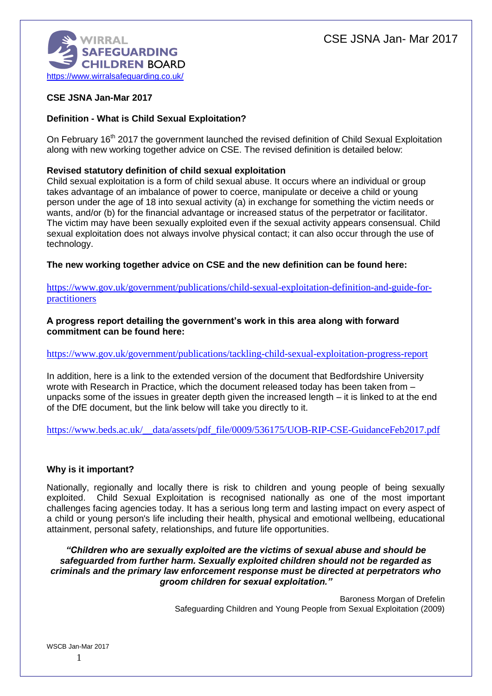

## **CSE JSNA Jan-Mar 2017**

## **Definition - What is Child Sexual Exploitation?**

On February 16<sup>th</sup> 2017 the government launched the revised definition of Child Sexual Exploitation along with new working together advice on CSE. The revised definition is detailed below:

## **Revised statutory definition of child sexual exploitation**

Child sexual exploitation is a form of child sexual abuse. It occurs where an individual or group takes advantage of an imbalance of power to coerce, manipulate or deceive a child or young person under the age of 18 into sexual activity (a) in exchange for something the victim needs or wants, and/or (b) for the financial advantage or increased status of the perpetrator or facilitator. The victim may have been sexually exploited even if the sexual activity appears consensual. Child sexual exploitation does not always involve physical contact; it can also occur through the use of technology.

**The new working together advice on CSE and the new definition can be found here:**

[https://www.gov.uk/government/publications/child-sexual-exploitation-definition-and-guide-for](https://www.gov.uk/government/publications/child-sexual-exploitation-definition-and-guide-for-practitioners)[practitioners](https://www.gov.uk/government/publications/child-sexual-exploitation-definition-and-guide-for-practitioners)

#### **A progress report detailing the government's work in this area along with forward commitment can be found here:**

## <https://www.gov.uk/government/publications/tackling-child-sexual-exploitation-progress-report>

In addition, here is a link to the extended version of the document that Bedfordshire University wrote with Research in Practice, which the document released today has been taken from – unpacks some of the issues in greater depth given the increased length – it is linked to at the end of the DfE document, but the link below will take you directly to it.

https://www.beds.ac.uk/ data/assets/pdf\_file/0009/536175/UOB-RIP-CSE-GuidanceFeb2017.pdf

## **Why is it important?**

Nationally, regionally and locally there is risk to children and young people of being sexually exploited. Child Sexual Exploitation is recognised nationally as one of the most important challenges facing agencies today. It has a serious long term and lasting impact on every aspect of a child or young person's life including their health, physical and emotional wellbeing, educational attainment, personal safety, relationships, and future life opportunities.

*"Children who are sexually exploited are the victims of sexual abuse and should be safeguarded from further harm. Sexually exploited children should not be regarded as criminals and the primary law enforcement response must be directed at perpetrators who groom children for sexual exploitation."*

> Baroness Morgan of Drefelin Safeguarding Children and Young People from Sexual Exploitation (2009)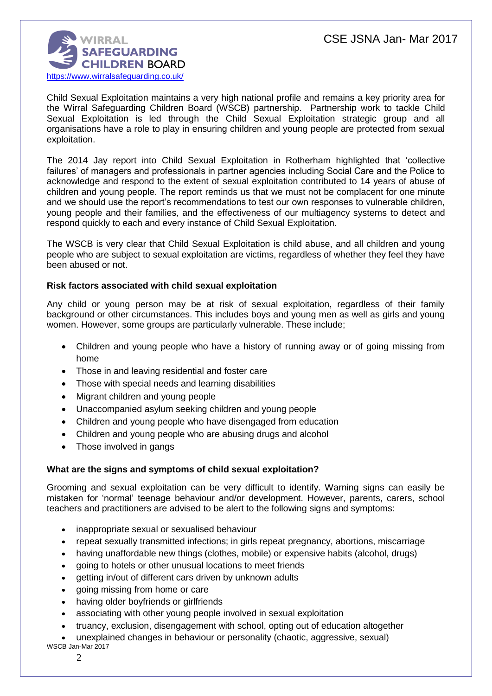

Child Sexual Exploitation maintains a very high national profile and remains a key priority area for the Wirral Safeguarding Children Board (WSCB) partnership. Partnership work to tackle Child Sexual Exploitation is led through the Child Sexual Exploitation strategic group and all organisations have a role to play in ensuring children and young people are protected from sexual exploitation.

The 2014 Jay report into Child Sexual Exploitation in Rotherham highlighted that 'collective failures' of managers and professionals in partner agencies including Social Care and the Police to acknowledge and respond to the extent of sexual exploitation contributed to 14 years of abuse of children and young people. The report reminds us that we must not be complacent for one minute and we should use the report's recommendations to test our own responses to vulnerable children, young people and their families, and the effectiveness of our multiagency systems to detect and respond quickly to each and every instance of Child Sexual Exploitation.

The WSCB is very clear that Child Sexual Exploitation is child abuse, and all children and young people who are subject to sexual exploitation are victims, regardless of whether they feel they have been abused or not.

## **Risk factors associated with child sexual exploitation**

Any child or young person may be at risk of sexual exploitation, regardless of their family background or other circumstances. This includes boys and young men as well as girls and young women. However, some groups are particularly vulnerable. These include;

- Children and young people who have a history of running away or of going missing from home
- Those in and leaving residential and foster care
- Those with special needs and learning disabilities
- Migrant children and young people
- Unaccompanied asylum seeking children and young people
- Children and young people who have disengaged from education
- Children and young people who are abusing drugs and alcohol
- Those involved in gangs

## **What are the signs and symptoms of child sexual exploitation?**

Grooming and sexual exploitation can be very difficult to identify. Warning signs can easily be mistaken for 'normal' teenage behaviour and/or development. However, parents, carers, school teachers and practitioners are advised to be alert to the following signs and symptoms:

- inappropriate sexual or sexualised behaviour
- repeat sexually transmitted infections; in girls repeat pregnancy, abortions, miscarriage
- having unaffordable new things (clothes, mobile) or expensive habits (alcohol, drugs)
- going to hotels or other unusual locations to meet friends
- getting in/out of different cars driven by unknown adults
- going missing from home or care
- having older boyfriends or girlfriends
- associating with other young people involved in sexual exploitation
- truancy, exclusion, disengagement with school, opting out of education altogether
- unexplained changes in behaviour or personality (chaotic, aggressive, sexual)
- WSCB Jan-Mar 2017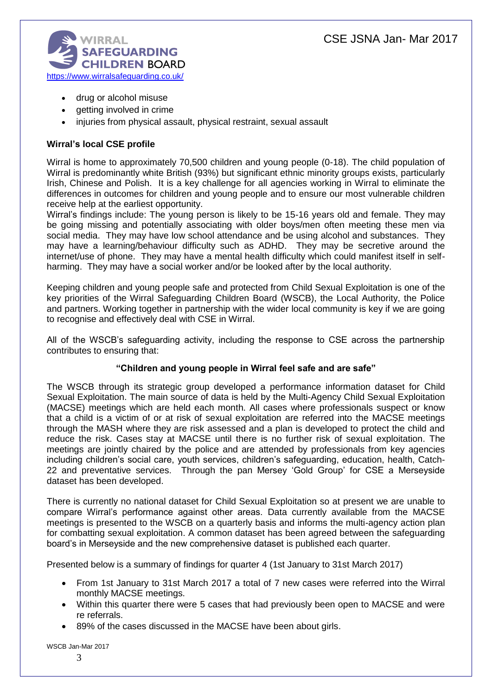

- drug or alcohol misuse
- getting involved in crime
- injuries from physical assault, physical restraint, sexual assault

## **Wirral's local CSE profile**

Wirral is home to approximately 70,500 children and young people (0-18). The child population of Wirral is predominantly white British (93%) but significant ethnic minority groups exists, particularly Irish, Chinese and Polish. It is a key challenge for all agencies working in Wirral to eliminate the differences in outcomes for children and young people and to ensure our most vulnerable children receive help at the earliest opportunity.

Wirral's findings include: The young person is likely to be 15-16 years old and female. They may be going missing and potentially associating with older boys/men often meeting these men via social media. They may have low school attendance and be using alcohol and substances. They may have a learning/behaviour difficulty such as ADHD. They may be secretive around the internet/use of phone. They may have a mental health difficulty which could manifest itself in selfharming. They may have a social worker and/or be looked after by the local authority.

Keeping children and young people safe and protected from Child Sexual Exploitation is one of the key priorities of the Wirral Safeguarding Children Board (WSCB), the Local Authority, the Police and partners. Working together in partnership with the wider local community is key if we are going to recognise and effectively deal with CSE in Wirral.

All of the WSCB's safeguarding activity, including the response to CSE across the partnership contributes to ensuring that:

## **"Children and young people in Wirral feel safe and are safe"**

The WSCB through its strategic group developed a performance information dataset for Child Sexual Exploitation. The main source of data is held by the Multi-Agency Child Sexual Exploitation (MACSE) meetings which are held each month. All cases where professionals suspect or know that a child is a victim of or at risk of sexual exploitation are referred into the MACSE meetings through the MASH where they are risk assessed and a plan is developed to protect the child and reduce the risk. Cases stay at MACSE until there is no further risk of sexual exploitation. The meetings are jointly chaired by the police and are attended by professionals from key agencies including children's social care, youth services, children's safeguarding, education, health, Catch-22 and preventative services. Through the pan Mersey 'Gold Group' for CSE a Merseyside dataset has been developed.

There is currently no national dataset for Child Sexual Exploitation so at present we are unable to compare Wirral's performance against other areas. Data currently available from the MACSE meetings is presented to the WSCB on a quarterly basis and informs the multi-agency action plan for combatting sexual exploitation. A common dataset has been agreed between the safeguarding board's in Merseyside and the new comprehensive dataset is published each quarter.

Presented below is a summary of findings for quarter 4 (1st January to 31st March 2017)

- From 1st January to 31st March 2017 a total of 7 new cases were referred into the Wirral monthly MACSE meetings.
- Within this quarter there were 5 cases that had previously been open to MACSE and were re referrals.
- 89% of the cases discussed in the MACSE have been about girls.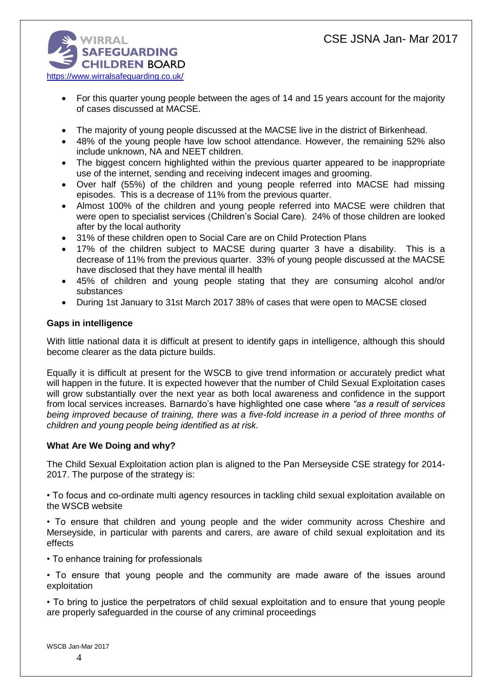

- For this quarter young people between the ages of 14 and 15 years account for the majority of cases discussed at MACSE.
- The majority of young people discussed at the MACSE live in the district of Birkenhead.
- 48% of the young people have low school attendance. However, the remaining 52% also include unknown, NA and NEET children.
- The biggest concern highlighted within the previous quarter appeared to be inappropriate use of the internet, sending and receiving indecent images and grooming.
- Over half (55%) of the children and young people referred into MACSE had missing episodes. This is a decrease of 11% from the previous quarter.
- Almost 100% of the children and young people referred into MACSE were children that were open to specialist services (Children's Social Care). 24% of those children are looked after by the local authority
- 31% of these children open to Social Care are on Child Protection Plans
- 17% of the children subject to MACSE during quarter 3 have a disability. This is a decrease of 11% from the previous quarter. 33% of young people discussed at the MACSE have disclosed that they have mental ill health
- 45% of children and young people stating that they are consuming alcohol and/or substances
- During 1st January to 31st March 2017 38% of cases that were open to MACSE closed

## **Gaps in intelligence**

With little national data it is difficult at present to identify gaps in intelligence, although this should become clearer as the data picture builds.

Equally it is difficult at present for the WSCB to give trend information or accurately predict what will happen in the future. It is expected however that the number of Child Sexual Exploitation cases will grow substantially over the next year as both local awareness and confidence in the support from local services increases. Barnardo's have highlighted one case where *"as a result of services being improved because of training, there was a five-fold increase in a period of three months of children and young people being identified as at risk.*

## **What Are We Doing and why?**

The Child Sexual Exploitation action plan is aligned to the Pan Merseyside CSE strategy for 2014- 2017. The purpose of the strategy is:

• To focus and co-ordinate multi agency resources in tackling child sexual exploitation available on the WSCB website

• To ensure that children and young people and the wider community across Cheshire and Merseyside, in particular with parents and carers, are aware of child sexual exploitation and its effects

• To enhance training for professionals

• To ensure that young people and the community are made aware of the issues around exploitation

• To bring to justice the perpetrators of child sexual exploitation and to ensure that young people are properly safeguarded in the course of any criminal proceedings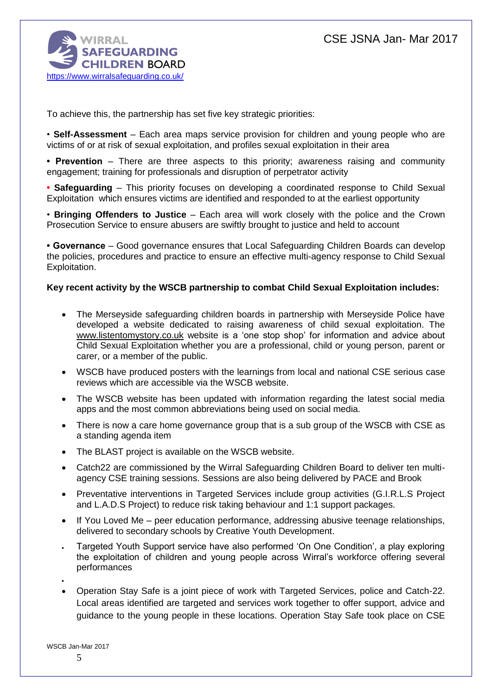

To achieve this, the partnership has set five key strategic priorities:

• **Self-Assessment** – Each area maps service provision for children and young people who are victims of or at risk of sexual exploitation, and profiles sexual exploitation in their area

**• Prevention** – There are three aspects to this priority; awareness raising and community engagement; training for professionals and disruption of perpetrator activity

**• Safeguarding** – This priority focuses on developing a coordinated response to Child Sexual Exploitation which ensures victims are identified and responded to at the earliest opportunity

• **Bringing Offenders to Justice** – Each area will work closely with the police and the Crown Prosecution Service to ensure abusers are swiftly brought to justice and held to account

**• Governance** – Good governance ensures that Local Safeguarding Children Boards can develop the policies, procedures and practice to ensure an effective multi-agency response to Child Sexual Exploitation.

## **Key recent activity by the WSCB partnership to combat Child Sexual Exploitation includes:**

- The Merseyside safeguarding children boards in partnership with Merseyside Police have developed a website dedicated to raising awareness of child sexual exploitation. The [www.listentomystory.co.uk](http://www.listentomystory.co.uk/) website is a 'one stop shop' for information and advice about Child Sexual Exploitation whether you are a professional, child or young person, parent or carer, or a member of the public.
- WSCB have produced posters with the learnings from local and national CSE serious case reviews which are accessible via the WSCB website.
- The WSCB website has been updated with information regarding the latest social media apps and the most common abbreviations being used on social media.
- There is now a care home governance group that is a sub group of the WSCB with CSE as a standing agenda item
- The BLAST project is available on the WSCB website.
- Catch22 are commissioned by the Wirral Safeguarding Children Board to deliver ten multiagency CSE training sessions. Sessions are also being delivered by PACE and Brook
- Preventative interventions in Targeted Services include group activities (G.I.R.L.S Project and L.A.D.S Project) to reduce risk taking behaviour and 1:1 support packages.
- If You Loved Me peer education performance, addressing abusive teenage relationships, delivered to secondary schools by Creative Youth Development.
- Targeted Youth Support service have also performed 'On One Condition', a play exploring the exploitation of children and young people across Wirral's workforce offering several performances
- Operation Stay Safe is a joint piece of work with Targeted Services, police and Catch-22. Local areas identified are targeted and services work together to offer support, advice and guidance to the young people in these locations. Operation Stay Safe took place on CSE

 $\bullet$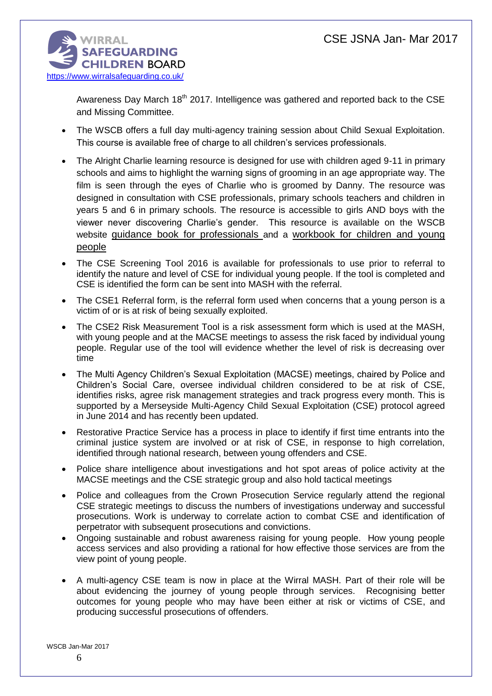

Awareness Day March  $18<sup>th</sup>$  2017. Intelligence was gathered and reported back to the CSE and Missing Committee.

- The WSCB offers a full day multi-agency training session about Child Sexual Exploitation. This course is available free of charge to all children's services professionals.
- The Alright Charlie learning resource is designed for use with children aged 9-11 in primary schools and aims to highlight the warning signs of grooming in an age appropriate way. The film is seen through the eyes of Charlie who is groomed by Danny. The resource was designed in consultation with CSE professionals, primary schools teachers and children in years 5 and 6 in primary schools. The resource is accessible to girls AND boys with the viewer never discovering Charlie's gender. This resource is available on the WSCB website [guidance book for professionals](http://www.wirralsafeguarding.co.uk/wp-content/uploads/2016/02/alright-charlie-professionals-guidance.pdf) and a workbook for children and young people
- The CSE Screening Tool 2016 is available for professionals to use prior to referral to identify the nature and level of CSE for individual young people. If the tool is completed and CSE is identified the form can be sent into MASH with the referral.
- The CSE1 Referral form, is the referral form used when concerns that a young person is a victim of or is at risk of being sexually exploited.
- The CSE2 Risk Measurement Tool is a risk assessment form which is used at the MASH, with young people and at the MACSE meetings to assess the risk faced by individual young people. Regular use of the tool will evidence whether the level of risk is decreasing over time
- The Multi Agency Children's Sexual Exploitation (MACSE) meetings, chaired by Police and Children's Social Care, oversee individual children considered to be at risk of CSE, identifies risks, agree risk management strategies and track progress every month. This is supported by a Merseyside Multi-Agency Child Sexual Exploitation (CSE) protocol agreed in June 2014 and has recently been updated.
- Restorative Practice Service has a process in place to identify if first time entrants into the criminal justice system are involved or at risk of CSE, in response to high correlation, identified through national research, between young offenders and CSE.
- Police share intelligence about investigations and hot spot areas of police activity at the MACSE meetings and the CSE strategic group and also hold tactical meetings
- Police and colleagues from the Crown Prosecution Service regularly attend the regional CSE strategic meetings to discuss the numbers of investigations underway and successful prosecutions. Work is underway to correlate action to combat CSE and identification of perpetrator with subsequent prosecutions and convictions.
- Ongoing sustainable and robust awareness raising for young people. How young people access services and also providing a rational for how effective those services are from the view point of young people.
- A multi-agency CSE team is now in place at the Wirral MASH. Part of their role will be about evidencing the journey of young people through services. Recognising better outcomes for young people who may have been either at risk or victims of CSE, and producing successful prosecutions of offenders.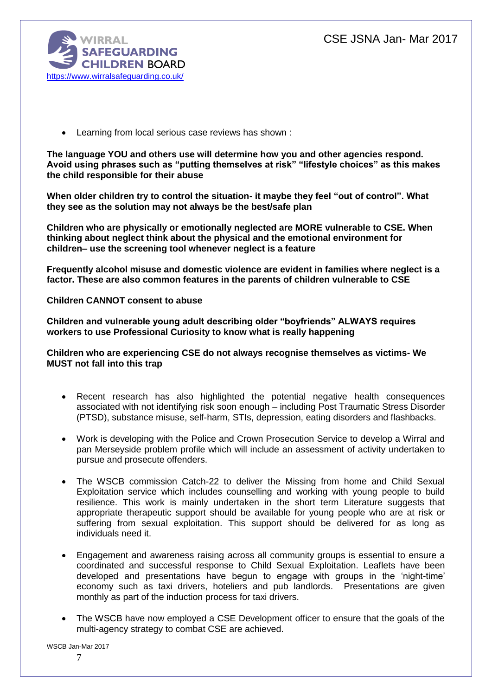

Learning from local serious case reviews has shown :

**The language YOU and others use will determine how you and other agencies respond. Avoid using phrases such as "putting themselves at risk" "lifestyle choices" as this makes the child responsible for their abuse** 

**When older children try to control the situation- it maybe they feel "out of control". What they see as the solution may not always be the best/safe plan** 

**Children who are physically or emotionally neglected are MORE vulnerable to CSE. When thinking about neglect think about the physical and the emotional environment for children– use the screening tool whenever neglect is a feature** 

**Frequently alcohol misuse and domestic violence are evident in families where neglect is a factor. These are also common features in the parents of children vulnerable to CSE** 

**Children CANNOT consent to abuse** 

**Children and vulnerable young adult describing older "boyfriends" ALWAYS requires workers to use Professional Curiosity to know what is really happening** 

**Children who are experiencing CSE do not always recognise themselves as victims- We MUST not fall into this trap** 

- Recent research has also highlighted the potential negative health consequences associated with not identifying risk soon enough – including Post Traumatic Stress Disorder (PTSD), substance misuse, self-harm, STIs, depression, eating disorders and flashbacks.
- Work is developing with the Police and Crown Prosecution Service to develop a Wirral and pan Merseyside problem profile which will include an assessment of activity undertaken to pursue and prosecute offenders.
- The WSCB commission Catch-22 to deliver the Missing from home and Child Sexual Exploitation service which includes counselling and working with young people to build resilience. This work is mainly undertaken in the short term Literature suggests that appropriate therapeutic support should be available for young people who are at risk or suffering from sexual exploitation. This support should be delivered for as long as individuals need it.
- Engagement and awareness raising across all community groups is essential to ensure a coordinated and successful response to Child Sexual Exploitation. Leaflets have been developed and presentations have begun to engage with groups in the 'night-time' economy such as taxi drivers, hoteliers and pub landlords. Presentations are given monthly as part of the induction process for taxi drivers.
- The WSCB have now employed a CSE Development officer to ensure that the goals of the multi-agency strategy to combat CSE are achieved.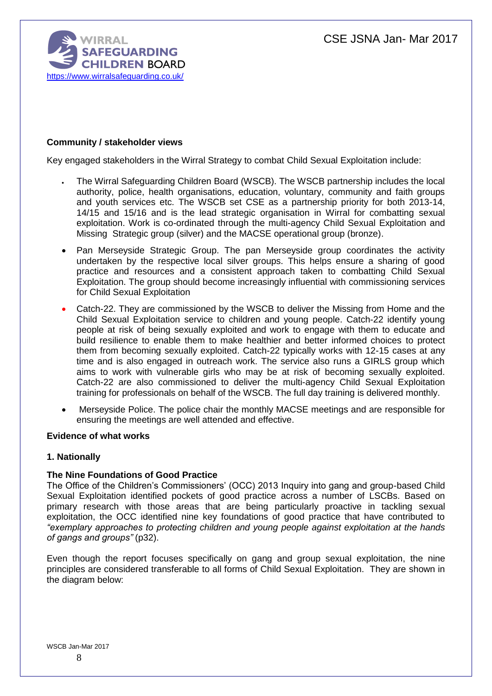

## **Community / stakeholder views**

Key engaged stakeholders in the Wirral Strategy to combat Child Sexual Exploitation include:

- The Wirral Safeguarding Children Board (WSCB). The WSCB partnership includes the local authority, police, health organisations, education, voluntary, community and faith groups and youth services etc. The WSCB set CSE as a partnership priority for both 2013-14, 14/15 and 15/16 and is the lead strategic organisation in Wirral for combatting sexual exploitation. Work is co-ordinated through the multi-agency Child Sexual Exploitation and Missing Strategic group (silver) and the MACSE operational group (bronze).
- Pan Merseyside Strategic Group. The pan Merseyside group coordinates the activity undertaken by the respective local silver groups. This helps ensure a sharing of good practice and resources and a consistent approach taken to combatting Child Sexual Exploitation. The group should become increasingly influential with commissioning services for Child Sexual Exploitation
- Catch-22. They are commissioned by the WSCB to deliver the Missing from Home and the Child Sexual Exploitation service to children and young people. Catch-22 identify young people at risk of being sexually exploited and work to engage with them to educate and build resilience to enable them to make healthier and better informed choices to protect them from becoming sexually exploited. Catch-22 typically works with 12-15 cases at any time and is also engaged in outreach work. The service also runs a GIRLS group which aims to work with vulnerable girls who may be at risk of becoming sexually exploited. Catch-22 are also commissioned to deliver the multi-agency Child Sexual Exploitation training for professionals on behalf of the WSCB. The full day training is delivered monthly.
- Merseyside Police. The police chair the monthly MACSE meetings and are responsible for ensuring the meetings are well attended and effective.

#### **Evidence of what works**

#### **1. Nationally**

## **The Nine Foundations of Good Practice**

The Office of the Children's Commissioners' (OCC) 2013 Inquiry into gang and group-based Child Sexual Exploitation identified pockets of good practice across a number of LSCBs. Based on primary research with those areas that are being particularly proactive in tackling sexual exploitation, the OCC identified nine key foundations of good practice that have contributed to *"exemplary approaches to protecting children and young people against exploitation at the hands of gangs and groups"* (p32).

Even though the report focuses specifically on gang and group sexual exploitation, the nine principles are considered transferable to all forms of Child Sexual Exploitation. They are shown in the diagram below: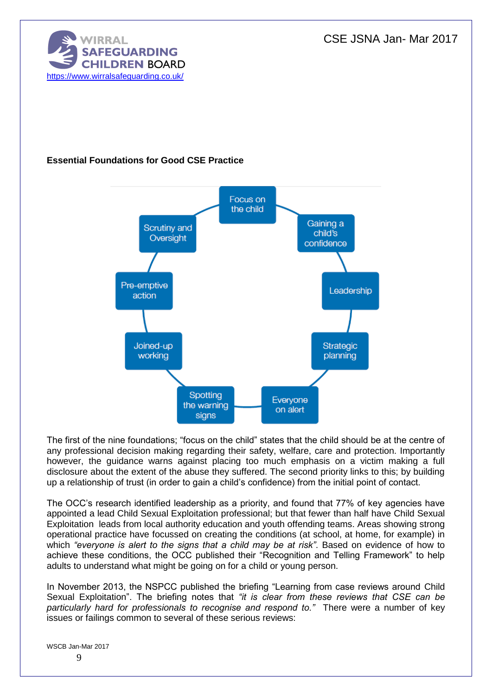CSE JSNA Jan- Mar 2017



# **Essential Foundations for Good CSE Practice**



The first of the nine foundations; "focus on the child" states that the child should be at the centre of any professional decision making regarding their safety, welfare, care and protection. Importantly however, the guidance warns against placing too much emphasis on a victim making a full disclosure about the extent of the abuse they suffered. The second priority links to this; by building up a relationship of trust (in order to gain a child's confidence) from the initial point of contact.

The OCC's research identified leadership as a priority, and found that 77% of key agencies have appointed a lead Child Sexual Exploitation professional; but that fewer than half have Child Sexual Exploitation leads from local authority education and youth offending teams. Areas showing strong operational practice have focussed on creating the conditions (at school, at home, for example) in which *"everyone is alert to the signs that a child may be at risk"*. Based on evidence of how to achieve these conditions, the OCC published their "Recognition and Telling Framework" to help adults to understand what might be going on for a child or young person.

In November 2013, the NSPCC published the briefing "Learning from case reviews around Child Sexual Exploitation". The briefing notes that *"it is clear from these reviews that CSE can be particularly hard for professionals to recognise and respond to."* There were a number of key issues or failings common to several of these serious reviews: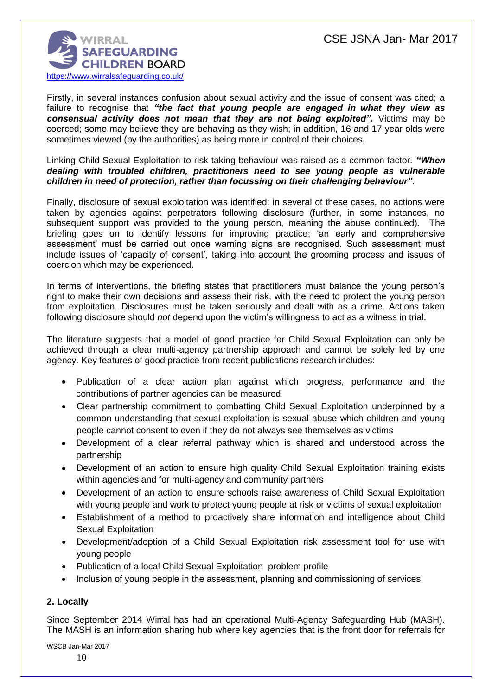

Firstly, in several instances confusion about sexual activity and the issue of consent was cited; a failure to recognise that *"the fact that young people are engaged in what they view as consensual activity does not mean that they are not being exploited".* Victims may be coerced; some may believe they are behaving as they wish; in addition, 16 and 17 year olds were sometimes viewed (by the authorities) as being more in control of their choices.

#### Linking Child Sexual Exploitation to risk taking behaviour was raised as a common factor. *"When dealing with troubled children, practitioners need to see young people as vulnerable children in need of protection, rather than focussing on their challenging behaviour"*.

Finally, disclosure of sexual exploitation was identified; in several of these cases, no actions were taken by agencies against perpetrators following disclosure (further, in some instances, no subsequent support was provided to the young person, meaning the abuse continued). The briefing goes on to identify lessons for improving practice; 'an early and comprehensive assessment' must be carried out once warning signs are recognised. Such assessment must include issues of 'capacity of consent', taking into account the grooming process and issues of coercion which may be experienced.

In terms of interventions, the briefing states that practitioners must balance the young person's right to make their own decisions and assess their risk, with the need to protect the young person from exploitation. Disclosures must be taken seriously and dealt with as a crime. Actions taken following disclosure should *not* depend upon the victim's willingness to act as a witness in trial.

The literature suggests that a model of good practice for Child Sexual Exploitation can only be achieved through a clear multi-agency partnership approach and cannot be solely led by one agency. Key features of good practice from recent publications research includes:

- Publication of a clear action plan against which progress, performance and the contributions of partner agencies can be measured
- Clear partnership commitment to combatting Child Sexual Exploitation underpinned by a common understanding that sexual exploitation is sexual abuse which children and young people cannot consent to even if they do not always see themselves as victims
- Development of a clear referral pathway which is shared and understood across the partnership
- Development of an action to ensure high quality Child Sexual Exploitation training exists within agencies and for multi-agency and community partners
- Development of an action to ensure schools raise awareness of Child Sexual Exploitation with young people and work to protect young people at risk or victims of sexual exploitation
- Establishment of a method to proactively share information and intelligence about Child Sexual Exploitation
- Development/adoption of a Child Sexual Exploitation risk assessment tool for use with young people
- Publication of a local Child Sexual Exploitation problem profile
- Inclusion of young people in the assessment, planning and commissioning of services

## **2. Locally**

Since September 2014 Wirral has had an operational Multi-Agency Safeguarding Hub (MASH). The MASH is an information sharing hub where key agencies that is the front door for referrals for

WSCB Jan-Mar 2017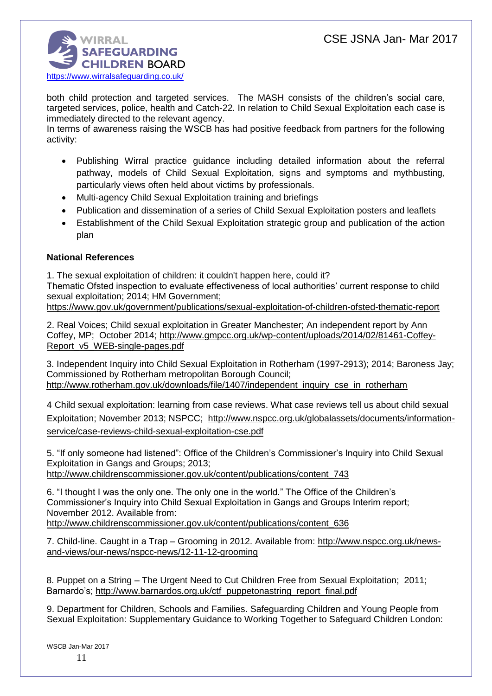

both child protection and targeted services. The MASH consists of the children's social care, targeted services, police, health and Catch-22. In relation to Child Sexual Exploitation each case is immediately directed to the relevant agency.

In terms of awareness raising the WSCB has had positive feedback from partners for the following activity:

- Publishing Wirral practice guidance including detailed information about the referral pathway, models of Child Sexual Exploitation, signs and symptoms and mythbusting, particularly views often held about victims by professionals.
- Multi-agency Child Sexual Exploitation training and briefings
- Publication and dissemination of a series of Child Sexual Exploitation posters and leaflets
- Establishment of the Child Sexual Exploitation strategic group and publication of the action plan

## **National References**

1. The sexual exploitation of children: it couldn't happen here, could it? Thematic Ofsted inspection to evaluate effectiveness of local authorities' current response to child sexual exploitation; 2014; HM Government; <https://www.gov.uk/government/publications/sexual-exploitation-of-children-ofsted-thematic-report>

2. Real Voices; Child sexual exploitation in Greater Manchester; An independent report by Ann Coffey, MP; October 2014; [http://www.gmpcc.org.uk/wp-content/uploads/2014/02/81461-Coffey-](http://www.gmpcc.org.uk/wp-content/uploads/2014/02/81461-Coffey-Report_v5_WEB-single-pages.pdf)[Report\\_v5\\_WEB-single-pages.pdf](http://www.gmpcc.org.uk/wp-content/uploads/2014/02/81461-Coffey-Report_v5_WEB-single-pages.pdf)

3. Independent Inquiry into Child Sexual Exploitation in Rotherham (1997-2913); 2014; Baroness Jay; Commissioned by Rotherham metropolitan Borough Council; [http://www.rotherham.gov.uk/downloads/file/1407/independent\\_inquiry\\_cse\\_in\\_rotherham](http://www.rotherham.gov.uk/downloads/file/1407/independent_inquiry_cse_in_rotherham)

4 Child sexual exploitation: learning from case reviews. What case reviews tell us about child sexual Exploitation; November 2013; NSPCC; [http://www.nspcc.org.uk/globalassets/documents/information](http://www.nspcc.org.uk/globalassets/documents/information-service/case-reviews-child-sexual-exploitation-cse.pdf)[service/case-reviews-child-sexual-exploitation-cse.pdf](http://www.nspcc.org.uk/globalassets/documents/information-service/case-reviews-child-sexual-exploitation-cse.pdf)

5. "If only someone had listened": Office of the Children's Commissioner's Inquiry into Child Sexual Exploitation in Gangs and Groups; 2013;

[http://www.childrenscommissioner.gov.uk/content/publications/content\\_743](http://www.childrenscommissioner.gov.uk/content/publications/content_743)

6. "I thought I was the only one. The only one in the world." The Office of the Children's Commissioner's Inquiry into Child Sexual Exploitation in Gangs and Groups Interim report; November 2012. Available from:

[http://www.childrenscommissioner.gov.uk/content/publications/content\\_636](http://www.childrenscommissioner.gov.uk/content/publications/content_636)

7. Child-line. Caught in a Trap – Grooming in 2012. Available from: [http://www.nspcc.org.uk/news](http://www.nspcc.org.uk/news-and-views/our-news/nspcc-news/12-11-12-grooming)[and-views/our-news/nspcc-news/12-11-12-grooming](http://www.nspcc.org.uk/news-and-views/our-news/nspcc-news/12-11-12-grooming)

8. Puppet on a String – The Urgent Need to Cut Children Free from Sexual Exploitation; 2011; Barnardo's; [http://www.barnardos.org.uk/ctf\\_puppetonastring\\_report\\_final.pdf](http://www.barnardos.org.uk/ctf_puppetonastring_report_final.pdf)

9. Department for Children, Schools and Families. Safeguarding Children and Young People from Sexual Exploitation: Supplementary Guidance to Working Together to Safeguard Children London: